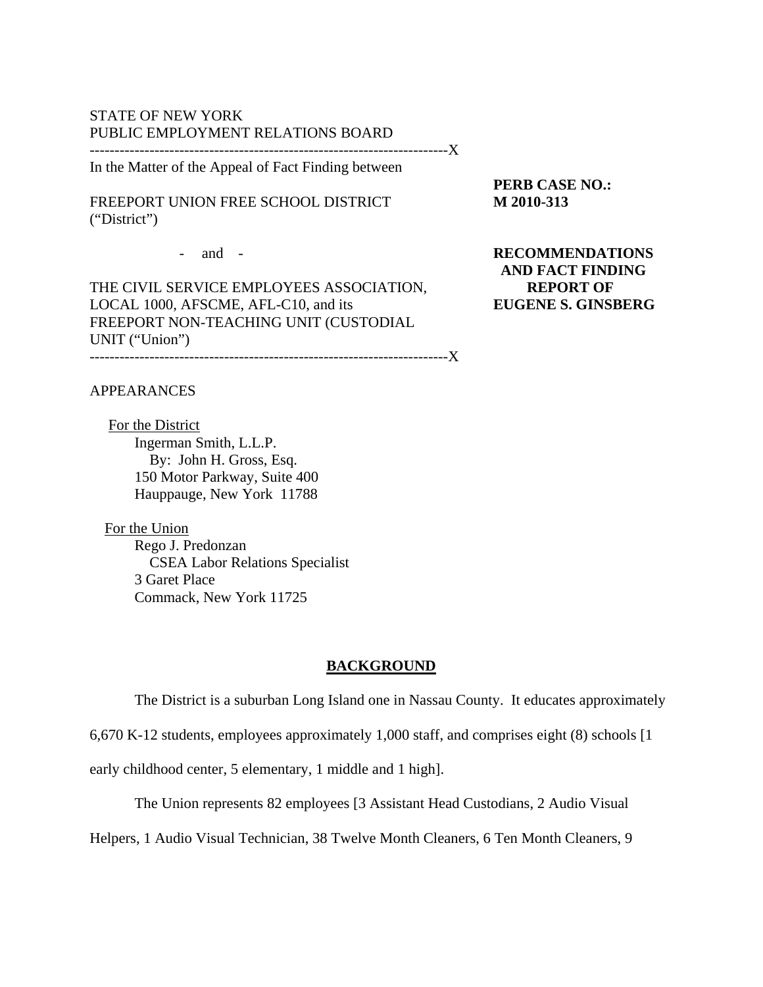### STATE OF NEW YORK PUBLIC EMPLOYMENT RELATIONS BOARD

------------------------------------------------------------------------X In the Matter of the Appeal of Fact Finding between

FREEPORT UNION FREE SCHOOL DISTRICT **M 2010-313**  ("District")

**PERB CASE NO.:** 

THE CIVIL SERVICE EMPLOYEES ASSOCIATION, **REPORT OF**  LOCAL 1000, AFSCME, AFL-C10, and its **EUGENE S. GINSBERG**  FREEPORT NON-TEACHING UNIT (CUSTODIAL UNIT ("Union") ------------------------------------------------------------------------X

- and - **RECOMMENDATIONS AND FACT FINDING** 

### APPEARANCES

 For the District Ingerman Smith, L.L.P. By: John H. Gross, Esq. 150 Motor Parkway, Suite 400 Hauppauge, New York 11788

 For the Union Rego J. Predonzan CSEA Labor Relations Specialist 3 Garet Place Commack, New York 11725

### **BACKGROUND**

The District is a suburban Long Island one in Nassau County. It educates approximately

6,670 K-12 students, employees approximately 1,000 staff, and comprises eight (8) schools [1

early childhood center, 5 elementary, 1 middle and 1 high].

The Union represents 82 employees [3 Assistant Head Custodians, 2 Audio Visual

Helpers, 1 Audio Visual Technician, 38 Twelve Month Cleaners, 6 Ten Month Cleaners, 9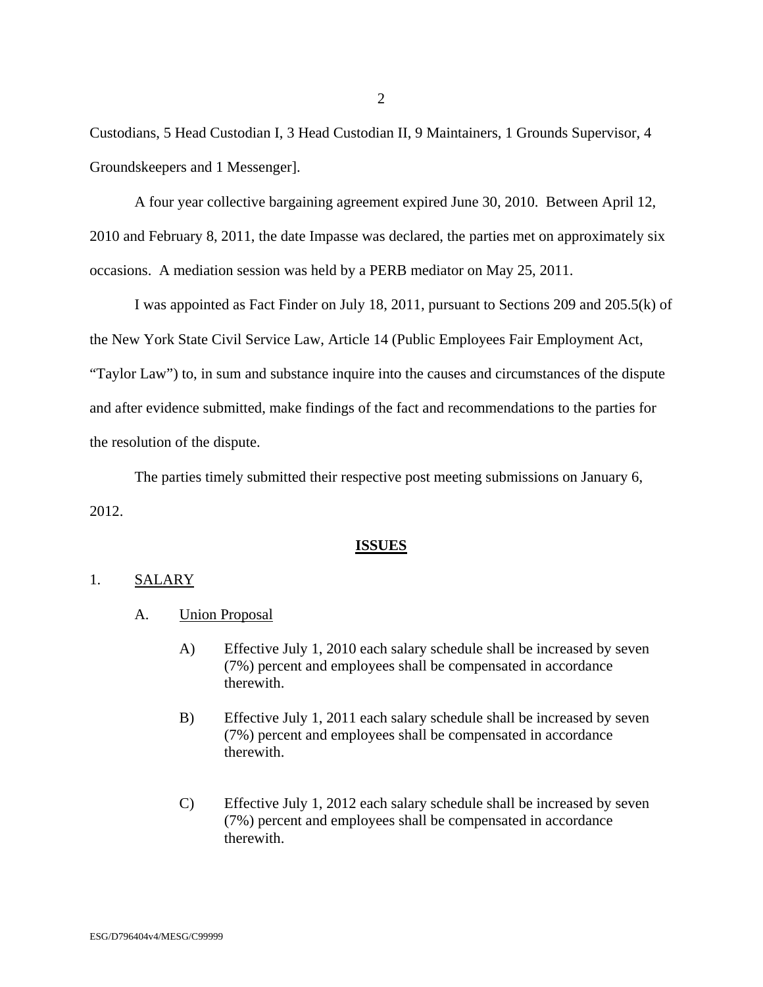Custodians, 5 Head Custodian I, 3 Head Custodian II, 9 Maintainers, 1 Grounds Supervisor, 4 Groundskeepers and 1 Messenger].

 A four year collective bargaining agreement expired June 30, 2010. Between April 12, 2010 and February 8, 2011, the date Impasse was declared, the parties met on approximately six occasions. A mediation session was held by a PERB mediator on May 25, 2011.

I was appointed as Fact Finder on July 18, 2011, pursuant to Sections 209 and 205.5(k) of the New York State Civil Service Law, Article 14 (Public Employees Fair Employment Act, "Taylor Law") to, in sum and substance inquire into the causes and circumstances of the dispute and after evidence submitted, make findings of the fact and recommendations to the parties for the resolution of the dispute.

 The parties timely submitted their respective post meeting submissions on January 6, 2012.

### **ISSUES**

#### 1. SALARY

- A. Union Proposal
	- A) Effective July 1, 2010 each salary schedule shall be increased by seven (7%) percent and employees shall be compensated in accordance therewith.
	- B) Effective July 1, 2011 each salary schedule shall be increased by seven (7%) percent and employees shall be compensated in accordance therewith.
	- C) Effective July 1, 2012 each salary schedule shall be increased by seven (7%) percent and employees shall be compensated in accordance therewith.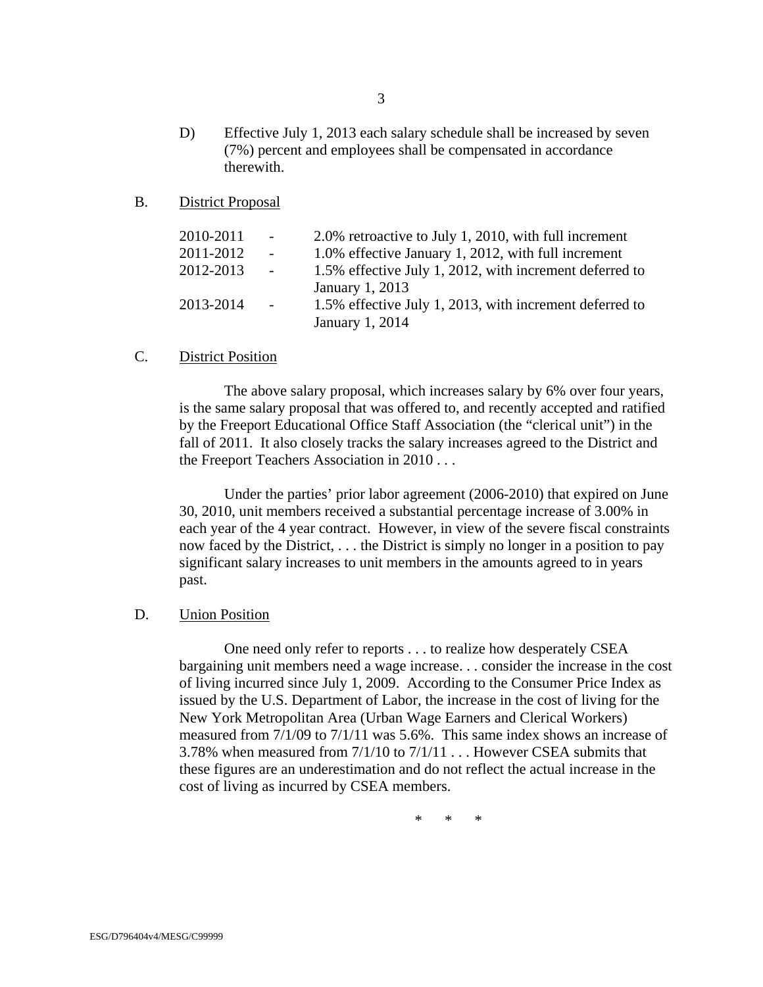D) Effective July 1, 2013 each salary schedule shall be increased by seven (7%) percent and employees shall be compensated in accordance therewith.

#### B. District Proposal

| 2010-2011 | $\sim$ $-$      | 2.0% retroactive to July 1, 2010, with full increment   |
|-----------|-----------------|---------------------------------------------------------|
| 2011-2012 | $\sim$ $-$      | 1.0% effective January 1, 2012, with full increment     |
| 2012-2013 | $\sim 10^{-10}$ | 1.5% effective July 1, 2012, with increment deferred to |
|           |                 | January 1, 2013                                         |
| 2013-2014 | $\sim$ $-$      | 1.5% effective July 1, 2013, with increment deferred to |
|           |                 | January 1, 2014                                         |

### C. District Position

The above salary proposal, which increases salary by 6% over four years, is the same salary proposal that was offered to, and recently accepted and ratified by the Freeport Educational Office Staff Association (the "clerical unit") in the fall of 2011. It also closely tracks the salary increases agreed to the District and the Freeport Teachers Association in 2010 . . .

Under the parties' prior labor agreement (2006-2010) that expired on June 30, 2010, unit members received a substantial percentage increase of 3.00% in each year of the 4 year contract. However, in view of the severe fiscal constraints now faced by the District, . . . the District is simply no longer in a position to pay significant salary increases to unit members in the amounts agreed to in years past.

#### D. Union Position

One need only refer to reports . . . to realize how desperately CSEA bargaining unit members need a wage increase. . . consider the increase in the cost of living incurred since July 1, 2009. According to the Consumer Price Index as issued by the U.S. Department of Labor, the increase in the cost of living for the New York Metropolitan Area (Urban Wage Earners and Clerical Workers) measured from 7/1/09 to 7/1/11 was 5.6%. This same index shows an increase of 3.78% when measured from 7/1/10 to 7/1/11 . . . However CSEA submits that these figures are an underestimation and do not reflect the actual increase in the cost of living as incurred by CSEA members.

\* \* \*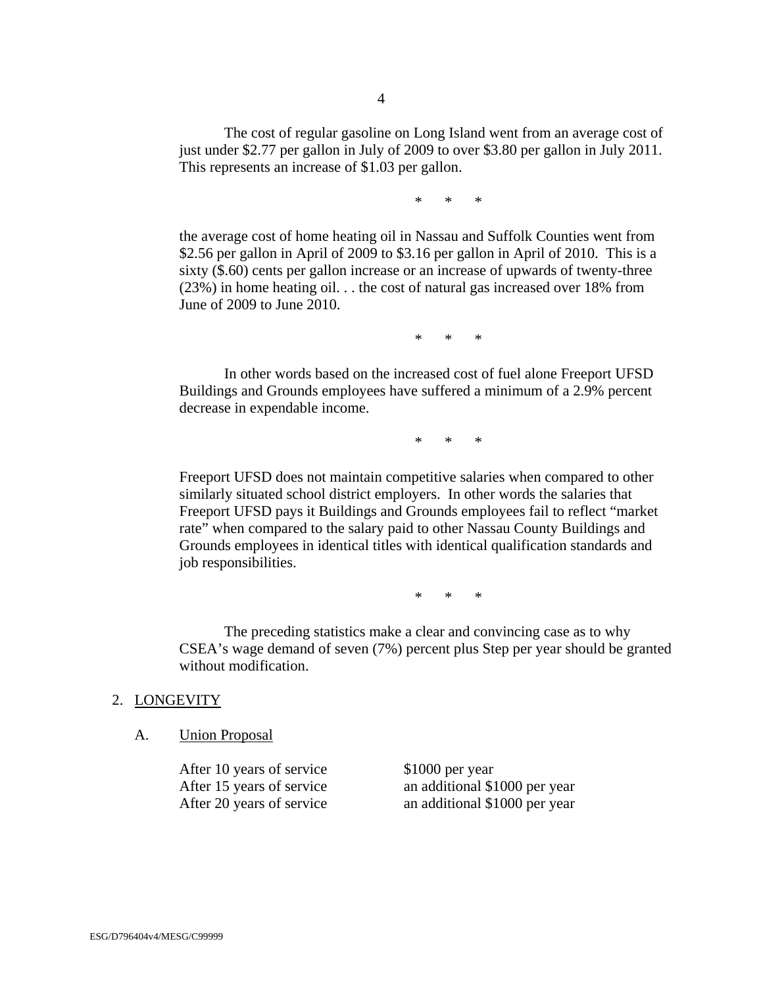The cost of regular gasoline on Long Island went from an average cost of just under \$2.77 per gallon in July of 2009 to over \$3.80 per gallon in July 2011. This represents an increase of \$1.03 per gallon.

\* \* \*

the average cost of home heating oil in Nassau and Suffolk Counties went from \$2.56 per gallon in April of 2009 to \$3.16 per gallon in April of 2010. This is a sixty (\$.60) cents per gallon increase or an increase of upwards of twenty-three (23%) in home heating oil. . . the cost of natural gas increased over 18% from June of 2009 to June 2010.

\* \* \*

 In other words based on the increased cost of fuel alone Freeport UFSD Buildings and Grounds employees have suffered a minimum of a 2.9% percent decrease in expendable income.

\* \* \*

Freeport UFSD does not maintain competitive salaries when compared to other similarly situated school district employers. In other words the salaries that Freeport UFSD pays it Buildings and Grounds employees fail to reflect "market rate" when compared to the salary paid to other Nassau County Buildings and Grounds employees in identical titles with identical qualification standards and job responsibilities.

\* \* \*

 The preceding statistics make a clear and convincing case as to why CSEA's wage demand of seven (7%) percent plus Step per year should be granted without modification.

#### 2. LONGEVITY

A. Union Proposal

After 10 years of service \$1000 per year

After 15 years of service an additional \$1000 per year After 20 years of service an additional \$1000 per year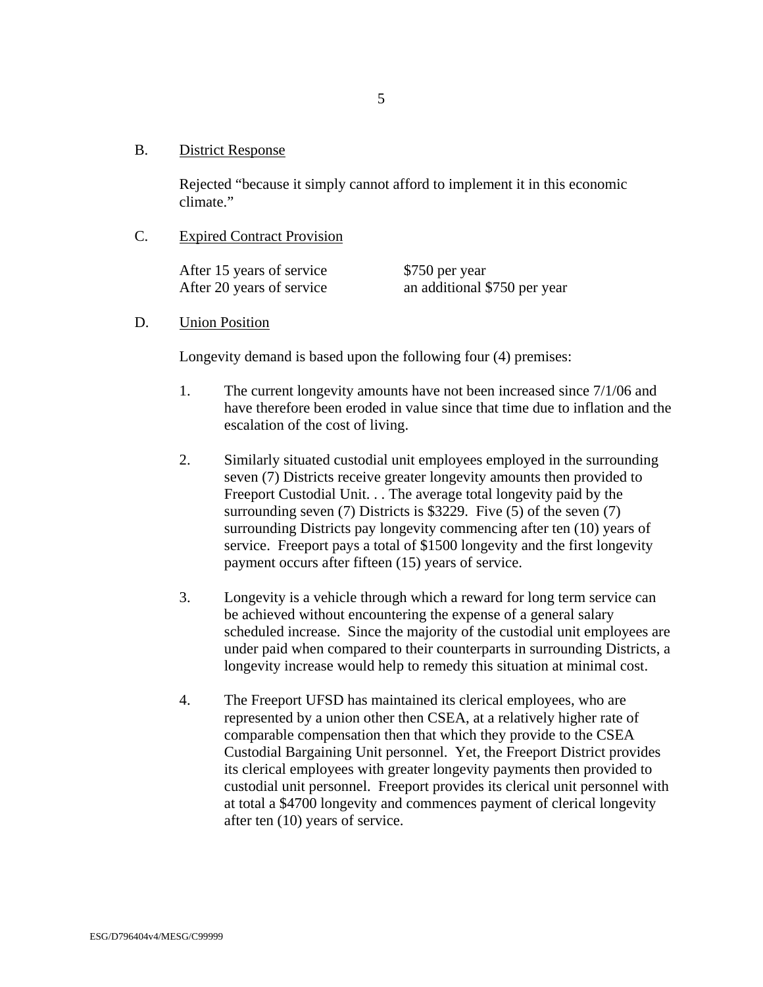#### B. District Response

Rejected "because it simply cannot afford to implement it in this economic climate."

### C. Expired Contract Provision

After 15 years of service \$750 per year After 20 years of service an additional \$750 per year

### D. Union Position

Longevity demand is based upon the following four (4) premises:

- 1. The current longevity amounts have not been increased since 7/1/06 and have therefore been eroded in value since that time due to inflation and the escalation of the cost of living.
- 2. Similarly situated custodial unit employees employed in the surrounding seven (7) Districts receive greater longevity amounts then provided to Freeport Custodial Unit. . . The average total longevity paid by the surrounding seven (7) Districts is \$3229. Five (5) of the seven (7) surrounding Districts pay longevity commencing after ten (10) years of service. Freeport pays a total of \$1500 longevity and the first longevity payment occurs after fifteen (15) years of service.
- 3. Longevity is a vehicle through which a reward for long term service can be achieved without encountering the expense of a general salary scheduled increase. Since the majority of the custodial unit employees are under paid when compared to their counterparts in surrounding Districts, a longevity increase would help to remedy this situation at minimal cost.
- 4. The Freeport UFSD has maintained its clerical employees, who are represented by a union other then CSEA, at a relatively higher rate of comparable compensation then that which they provide to the CSEA Custodial Bargaining Unit personnel. Yet, the Freeport District provides its clerical employees with greater longevity payments then provided to custodial unit personnel. Freeport provides its clerical unit personnel with at total a \$4700 longevity and commences payment of clerical longevity after ten (10) years of service.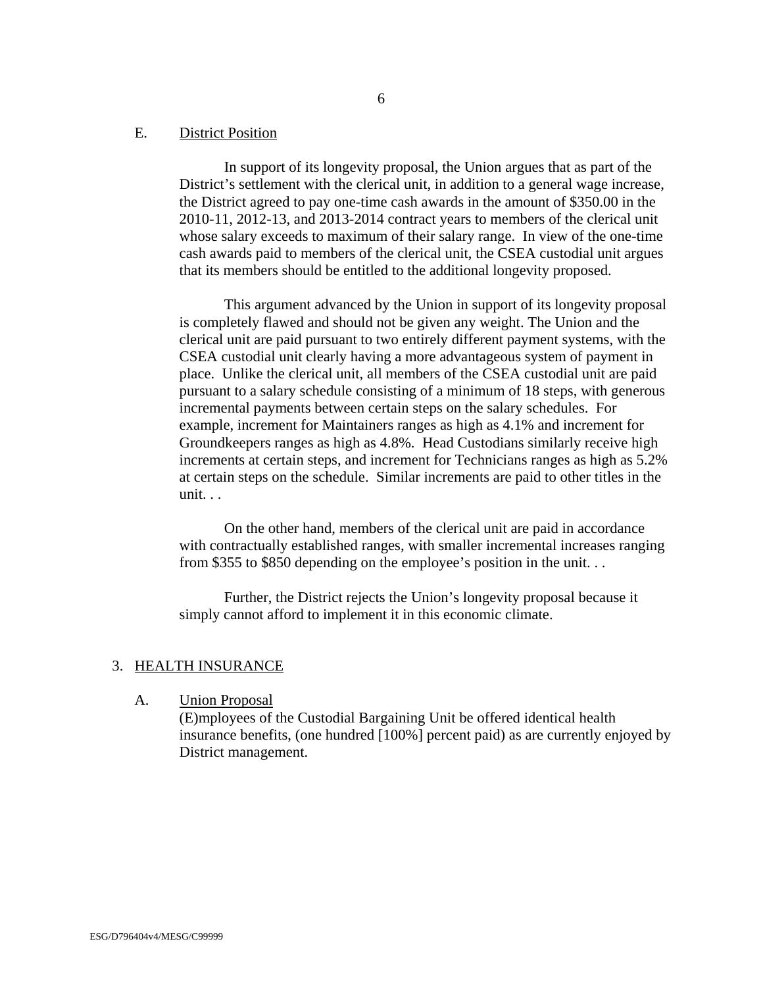#### E. District Position

In support of its longevity proposal, the Union argues that as part of the District's settlement with the clerical unit, in addition to a general wage increase, the District agreed to pay one-time cash awards in the amount of \$350.00 in the 2010-11, 2012-13, and 2013-2014 contract years to members of the clerical unit whose salary exceeds to maximum of their salary range. In view of the one-time cash awards paid to members of the clerical unit, the CSEA custodial unit argues that its members should be entitled to the additional longevity proposed.

 This argument advanced by the Union in support of its longevity proposal is completely flawed and should not be given any weight. The Union and the clerical unit are paid pursuant to two entirely different payment systems, with the CSEA custodial unit clearly having a more advantageous system of payment in place. Unlike the clerical unit, all members of the CSEA custodial unit are paid pursuant to a salary schedule consisting of a minimum of 18 steps, with generous incremental payments between certain steps on the salary schedules. For example, increment for Maintainers ranges as high as 4.1% and increment for Groundkeepers ranges as high as 4.8%. Head Custodians similarly receive high increments at certain steps, and increment for Technicians ranges as high as 5.2% at certain steps on the schedule. Similar increments are paid to other titles in the unit. . .

 On the other hand, members of the clerical unit are paid in accordance with contractually established ranges, with smaller incremental increases ranging from \$355 to \$850 depending on the employee's position in the unit. . .

 Further, the District rejects the Union's longevity proposal because it simply cannot afford to implement it in this economic climate.

### 3. HEALTH INSURANCE

A. Union Proposal

(E)mployees of the Custodial Bargaining Unit be offered identical health insurance benefits, (one hundred [100%] percent paid) as are currently enjoyed by District management.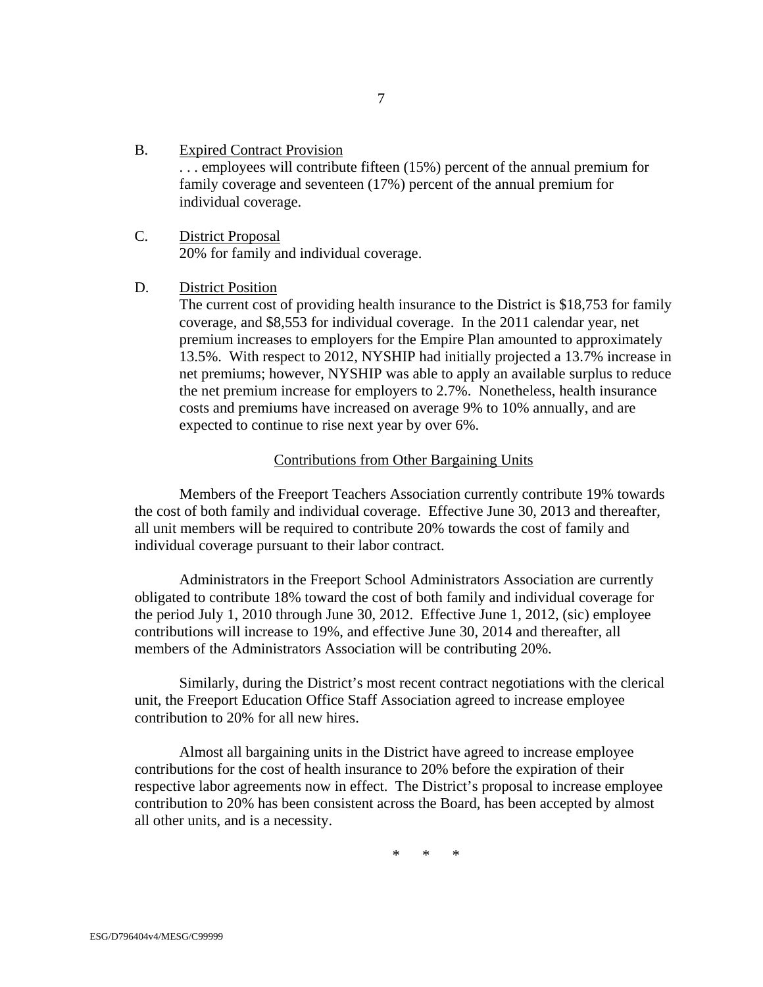#### B. Expired Contract Provision

. . . employees will contribute fifteen (15%) percent of the annual premium for family coverage and seventeen (17%) percent of the annual premium for individual coverage.

C. District Proposal 20% for family and individual coverage.

### D. District Position

The current cost of providing health insurance to the District is \$18,753 for family coverage, and \$8,553 for individual coverage. In the 2011 calendar year, net premium increases to employers for the Empire Plan amounted to approximately 13.5%. With respect to 2012, NYSHIP had initially projected a 13.7% increase in net premiums; however, NYSHIP was able to apply an available surplus to reduce the net premium increase for employers to 2.7%. Nonetheless, health insurance costs and premiums have increased on average 9% to 10% annually, and are expected to continue to rise next year by over 6%.

### Contributions from Other Bargaining Units

 Members of the Freeport Teachers Association currently contribute 19% towards the cost of both family and individual coverage. Effective June 30, 2013 and thereafter, all unit members will be required to contribute 20% towards the cost of family and individual coverage pursuant to their labor contract.

 Administrators in the Freeport School Administrators Association are currently obligated to contribute 18% toward the cost of both family and individual coverage for the period July 1, 2010 through June 30, 2012. Effective June 1, 2012, (sic) employee contributions will increase to 19%, and effective June 30, 2014 and thereafter, all members of the Administrators Association will be contributing 20%.

 Similarly, during the District's most recent contract negotiations with the clerical unit, the Freeport Education Office Staff Association agreed to increase employee contribution to 20% for all new hires.

 Almost all bargaining units in the District have agreed to increase employee contributions for the cost of health insurance to 20% before the expiration of their respective labor agreements now in effect. The District's proposal to increase employee contribution to 20% has been consistent across the Board, has been accepted by almost all other units, and is a necessity.

 $*$  \*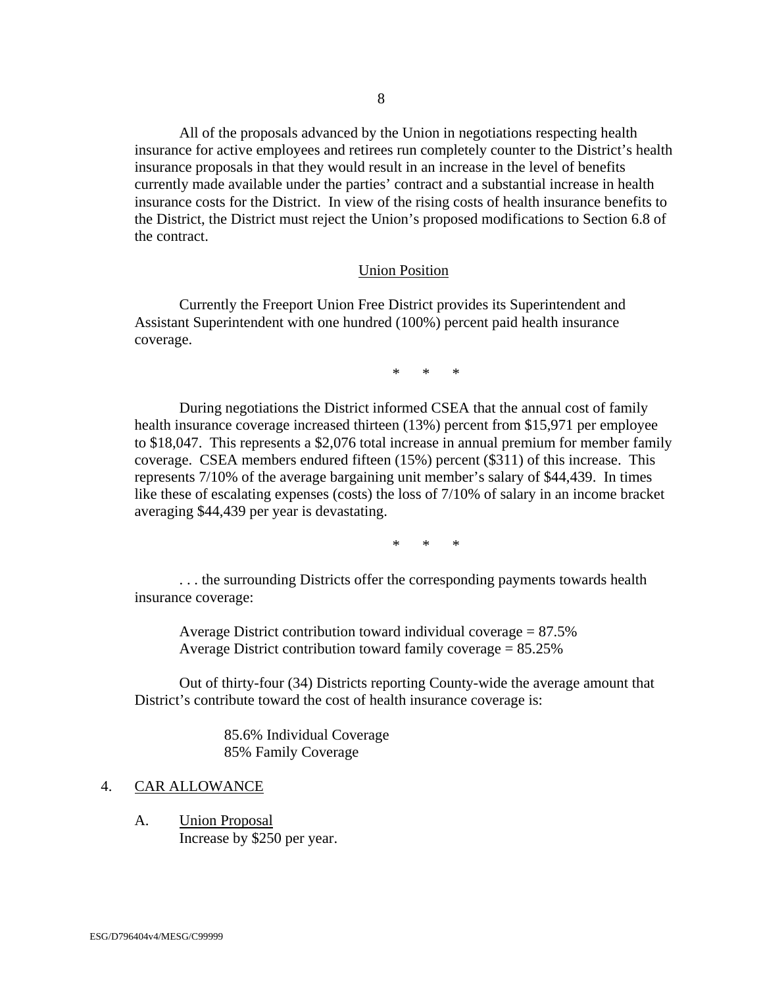All of the proposals advanced by the Union in negotiations respecting health insurance for active employees and retirees run completely counter to the District's health insurance proposals in that they would result in an increase in the level of benefits currently made available under the parties' contract and a substantial increase in health insurance costs for the District. In view of the rising costs of health insurance benefits to the District, the District must reject the Union's proposed modifications to Section 6.8 of the contract.

#### Union Position

 Currently the Freeport Union Free District provides its Superintendent and Assistant Superintendent with one hundred (100%) percent paid health insurance coverage.

\* \* \*

 During negotiations the District informed CSEA that the annual cost of family health insurance coverage increased thirteen (13%) percent from \$15,971 per employee to \$18,047. This represents a \$2,076 total increase in annual premium for member family coverage. CSEA members endured fifteen (15%) percent (\$311) of this increase. This represents 7/10% of the average bargaining unit member's salary of \$44,439. In times like these of escalating expenses (costs) the loss of 7/10% of salary in an income bracket averaging \$44,439 per year is devastating.

 $*$   $*$ 

 . . . the surrounding Districts offer the corresponding payments towards health insurance coverage:

Average District contribution toward individual coverage  $= 87.5\%$ Average District contribution toward family coverage = 85.25%

 Out of thirty-four (34) Districts reporting County-wide the average amount that District's contribute toward the cost of health insurance coverage is:

> 85.6% Individual Coverage 85% Family Coverage

#### 4. CAR ALLOWANCE

A. Union Proposal Increase by \$250 per year.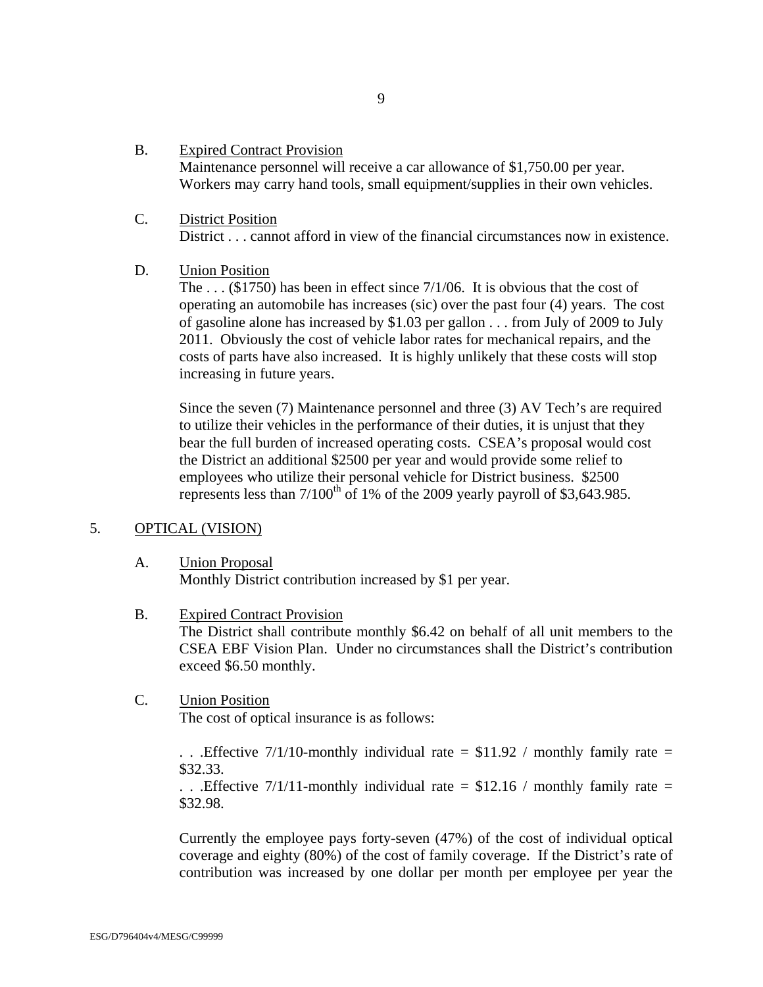B. Expired Contract Provision

Maintenance personnel will receive a car allowance of \$1,750.00 per year. Workers may carry hand tools, small equipment/supplies in their own vehicles.

C. District Position District . . . cannot afford in view of the financial circumstances now in existence.

### D. Union Position

The . . . (\$1750) has been in effect since 7/1/06. It is obvious that the cost of operating an automobile has increases (sic) over the past four (4) years. The cost of gasoline alone has increased by \$1.03 per gallon . . . from July of 2009 to July 2011. Obviously the cost of vehicle labor rates for mechanical repairs, and the costs of parts have also increased. It is highly unlikely that these costs will stop increasing in future years.

Since the seven (7) Maintenance personnel and three (3) AV Tech's are required to utilize their vehicles in the performance of their duties, it is unjust that they bear the full burden of increased operating costs. CSEA's proposal would cost the District an additional \$2500 per year and would provide some relief to employees who utilize their personal vehicle for District business. \$2500 represents less than  $7/100^{th}$  of 1% of the 2009 yearly payroll of \$3,643.985.

### 5. OPTICAL (VISION)

### A. Union Proposal Monthly District contribution increased by \$1 per year.

- B. Expired Contract Provision The District shall contribute monthly \$6.42 on behalf of all unit members to the CSEA EBF Vision Plan. Under no circumstances shall the District's contribution exceed \$6.50 monthly.
- C. Union Position

The cost of optical insurance is as follows:

... Effective 7/1/10-monthly individual rate  $=$  \$11.92 / monthly family rate  $=$ \$32.33.

... Effective 7/1/11-monthly individual rate =  $$12.16 / monthly family rate =$ \$32.98.

Currently the employee pays forty-seven (47%) of the cost of individual optical coverage and eighty (80%) of the cost of family coverage. If the District's rate of contribution was increased by one dollar per month per employee per year the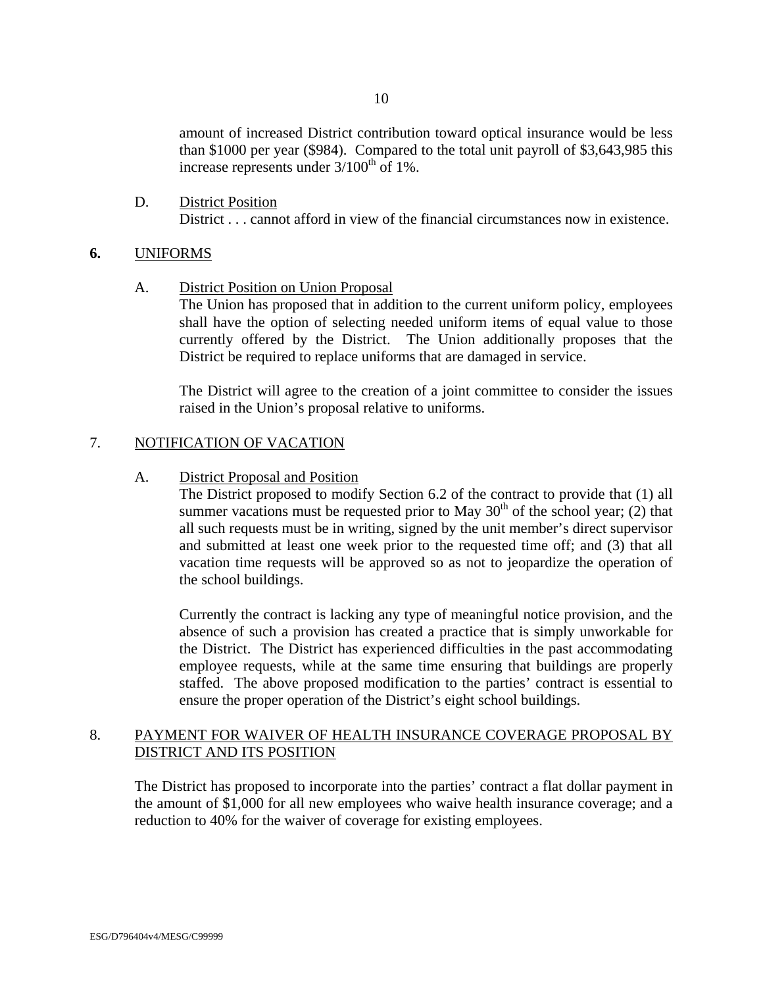amount of increased District contribution toward optical insurance would be less than \$1000 per year (\$984). Compared to the total unit payroll of \$3,643,985 this increase represents under  $3/100^{th}$  of 1%.

D. District Position District . . . cannot afford in view of the financial circumstances now in existence.

### **6.** UNIFORMS

A. District Position on Union Proposal

The Union has proposed that in addition to the current uniform policy, employees shall have the option of selecting needed uniform items of equal value to those currently offered by the District. The Union additionally proposes that the District be required to replace uniforms that are damaged in service.

The District will agree to the creation of a joint committee to consider the issues raised in the Union's proposal relative to uniforms.

### 7. NOTIFICATION OF VACATION

A. District Proposal and Position

The District proposed to modify Section 6.2 of the contract to provide that (1) all summer vacations must be requested prior to May  $30<sup>th</sup>$  of the school year; (2) that all such requests must be in writing, signed by the unit member's direct supervisor and submitted at least one week prior to the requested time off; and (3) that all vacation time requests will be approved so as not to jeopardize the operation of the school buildings.

Currently the contract is lacking any type of meaningful notice provision, and the absence of such a provision has created a practice that is simply unworkable for the District. The District has experienced difficulties in the past accommodating employee requests, while at the same time ensuring that buildings are properly staffed. The above proposed modification to the parties' contract is essential to ensure the proper operation of the District's eight school buildings.

### 8. PAYMENT FOR WAIVER OF HEALTH INSURANCE COVERAGE PROPOSAL BY DISTRICT AND ITS POSITION

The District has proposed to incorporate into the parties' contract a flat dollar payment in the amount of \$1,000 for all new employees who waive health insurance coverage; and a reduction to 40% for the waiver of coverage for existing employees.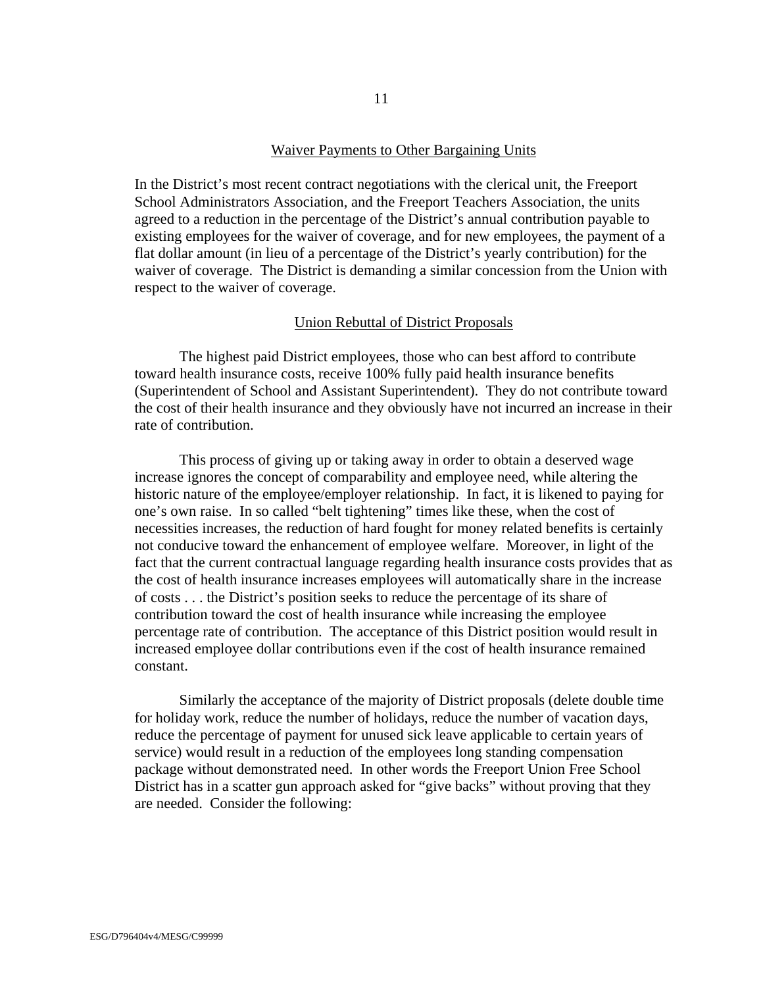#### Waiver Payments to Other Bargaining Units

In the District's most recent contract negotiations with the clerical unit, the Freeport School Administrators Association, and the Freeport Teachers Association, the units agreed to a reduction in the percentage of the District's annual contribution payable to existing employees for the waiver of coverage, and for new employees, the payment of a flat dollar amount (in lieu of a percentage of the District's yearly contribution) for the waiver of coverage. The District is demanding a similar concession from the Union with respect to the waiver of coverage.

### Union Rebuttal of District Proposals

The highest paid District employees, those who can best afford to contribute toward health insurance costs, receive 100% fully paid health insurance benefits (Superintendent of School and Assistant Superintendent). They do not contribute toward the cost of their health insurance and they obviously have not incurred an increase in their rate of contribution.

This process of giving up or taking away in order to obtain a deserved wage increase ignores the concept of comparability and employee need, while altering the historic nature of the employee/employer relationship. In fact, it is likened to paying for one's own raise. In so called "belt tightening" times like these, when the cost of necessities increases, the reduction of hard fought for money related benefits is certainly not conducive toward the enhancement of employee welfare. Moreover, in light of the fact that the current contractual language regarding health insurance costs provides that as the cost of health insurance increases employees will automatically share in the increase of costs . . . the District's position seeks to reduce the percentage of its share of contribution toward the cost of health insurance while increasing the employee percentage rate of contribution. The acceptance of this District position would result in increased employee dollar contributions even if the cost of health insurance remained constant.

Similarly the acceptance of the majority of District proposals (delete double time for holiday work, reduce the number of holidays, reduce the number of vacation days, reduce the percentage of payment for unused sick leave applicable to certain years of service) would result in a reduction of the employees long standing compensation package without demonstrated need. In other words the Freeport Union Free School District has in a scatter gun approach asked for "give backs" without proving that they are needed. Consider the following: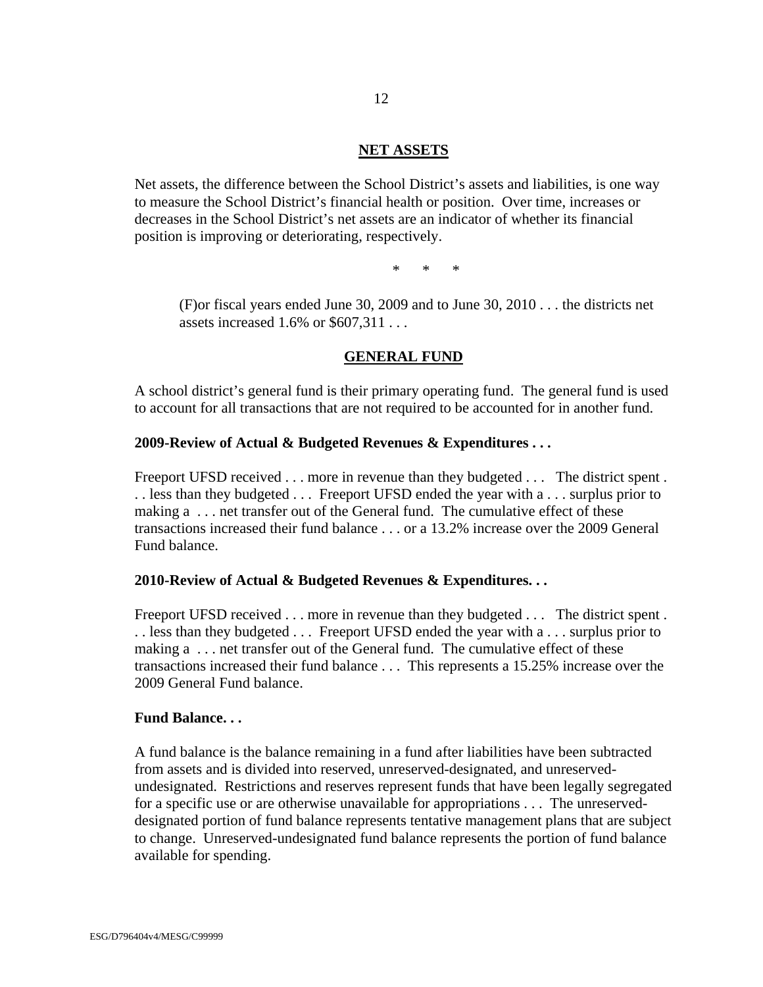### **NET ASSETS**

Net assets, the difference between the School District's assets and liabilities, is one way to measure the School District's financial health or position. Over time, increases or decreases in the School District's net assets are an indicator of whether its financial position is improving or deteriorating, respectively.

\* \* \*

(F)or fiscal years ended June 30, 2009 and to June 30, 2010 . . . the districts net assets increased 1.6% or \$607,311 . . .

### **GENERAL FUND**

A school district's general fund is their primary operating fund. The general fund is used to account for all transactions that are not required to be accounted for in another fund.

#### **2009-Review of Actual & Budgeted Revenues & Expenditures . . .**

Freeport UFSD received . . . more in revenue than they budgeted . . . The district spent . . . less than they budgeted . . . Freeport UFSD ended the year with a . . . surplus prior to making a . . . net transfer out of the General fund. The cumulative effect of these transactions increased their fund balance . . . or a 13.2% increase over the 2009 General Fund balance.

#### **2010-Review of Actual & Budgeted Revenues & Expenditures. . .**

Freeport UFSD received . . . more in revenue than they budgeted . . . The district spent . . . less than they budgeted . . . Freeport UFSD ended the year with a . . . surplus prior to making a . . . net transfer out of the General fund. The cumulative effect of these transactions increased their fund balance . . . This represents a 15.25% increase over the 2009 General Fund balance.

#### **Fund Balance. . .**

A fund balance is the balance remaining in a fund after liabilities have been subtracted from assets and is divided into reserved, unreserved-designated, and unreservedundesignated. Restrictions and reserves represent funds that have been legally segregated for a specific use or are otherwise unavailable for appropriations . . . The unreserveddesignated portion of fund balance represents tentative management plans that are subject to change. Unreserved-undesignated fund balance represents the portion of fund balance available for spending.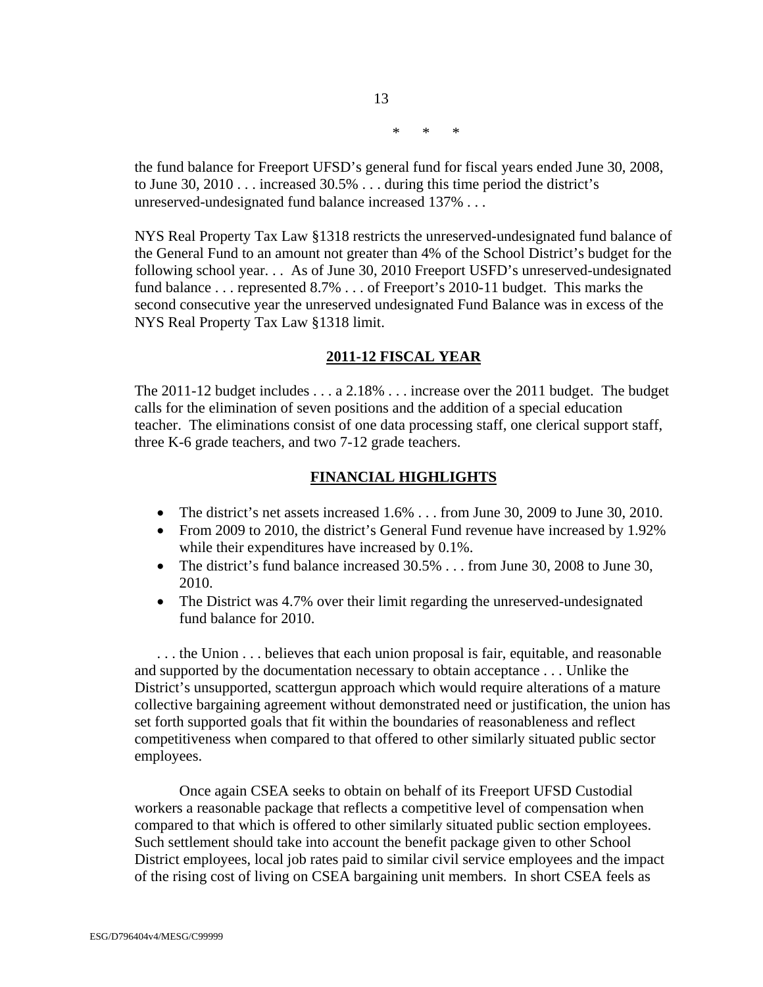\* \* \*

the fund balance for Freeport UFSD's general fund for fiscal years ended June 30, 2008, to June 30, 2010 . . . increased 30.5% . . . during this time period the district's unreserved-undesignated fund balance increased 137% . . .

13

NYS Real Property Tax Law §1318 restricts the unreserved-undesignated fund balance of the General Fund to an amount not greater than 4% of the School District's budget for the following school year. . . As of June 30, 2010 Freeport USFD's unreserved-undesignated fund balance . . . represented 8.7% . . . of Freeport's 2010-11 budget. This marks the second consecutive year the unreserved undesignated Fund Balance was in excess of the NYS Real Property Tax Law §1318 limit.

### **2011-12 FISCAL YEAR**

The 2011-12 budget includes . . . a 2.18% . . . increase over the 2011 budget. The budget calls for the elimination of seven positions and the addition of a special education teacher. The eliminations consist of one data processing staff, one clerical support staff, three K-6 grade teachers, and two 7-12 grade teachers.

### **FINANCIAL HIGHLIGHTS**

- The district's net assets increased  $1.6\%$  ... from June 30, 2009 to June 30, 2010.
- From 2009 to 2010, the district's General Fund revenue have increased by 1.92% while their expenditures have increased by 0.1%.
- The district's fund balance increased  $30.5\%$  . . . from June 30, 2008 to June 30, 2010.
- The District was 4.7% over their limit regarding the unreserved-undesignated fund balance for 2010.

. . . the Union . . . believes that each union proposal is fair, equitable, and reasonable and supported by the documentation necessary to obtain acceptance . . . Unlike the District's unsupported, scattergun approach which would require alterations of a mature collective bargaining agreement without demonstrated need or justification, the union has set forth supported goals that fit within the boundaries of reasonableness and reflect competitiveness when compared to that offered to other similarly situated public sector employees.

 Once again CSEA seeks to obtain on behalf of its Freeport UFSD Custodial workers a reasonable package that reflects a competitive level of compensation when compared to that which is offered to other similarly situated public section employees. Such settlement should take into account the benefit package given to other School District employees, local job rates paid to similar civil service employees and the impact of the rising cost of living on CSEA bargaining unit members. In short CSEA feels as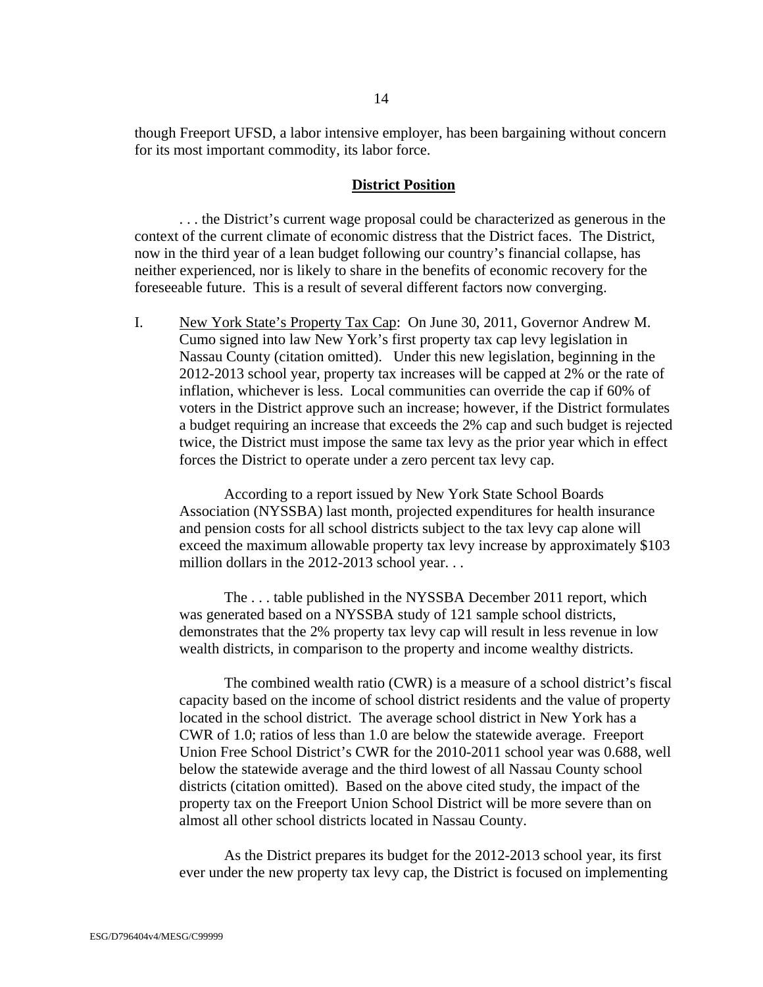though Freeport UFSD, a labor intensive employer, has been bargaining without concern for its most important commodity, its labor force.

#### **District Position**

 . . . the District's current wage proposal could be characterized as generous in the context of the current climate of economic distress that the District faces. The District, now in the third year of a lean budget following our country's financial collapse, has neither experienced, nor is likely to share in the benefits of economic recovery for the foreseeable future. This is a result of several different factors now converging.

I. New York State's Property Tax Cap: On June 30, 2011, Governor Andrew M. Cumo signed into law New York's first property tax cap levy legislation in Nassau County (citation omitted). Under this new legislation, beginning in the 2012-2013 school year, property tax increases will be capped at 2% or the rate of inflation, whichever is less. Local communities can override the cap if 60% of voters in the District approve such an increase; however, if the District formulates a budget requiring an increase that exceeds the 2% cap and such budget is rejected twice, the District must impose the same tax levy as the prior year which in effect forces the District to operate under a zero percent tax levy cap.

According to a report issued by New York State School Boards Association (NYSSBA) last month, projected expenditures for health insurance and pension costs for all school districts subject to the tax levy cap alone will exceed the maximum allowable property tax levy increase by approximately \$103 million dollars in the 2012-2013 school year...

The . . . table published in the NYSSBA December 2011 report, which was generated based on a NYSSBA study of 121 sample school districts, demonstrates that the 2% property tax levy cap will result in less revenue in low wealth districts, in comparison to the property and income wealthy districts.

 The combined wealth ratio (CWR) is a measure of a school district's fiscal capacity based on the income of school district residents and the value of property located in the school district. The average school district in New York has a CWR of 1.0; ratios of less than 1.0 are below the statewide average. Freeport Union Free School District's CWR for the 2010-2011 school year was 0.688, well below the statewide average and the third lowest of all Nassau County school districts (citation omitted). Based on the above cited study, the impact of the property tax on the Freeport Union School District will be more severe than on almost all other school districts located in Nassau County.

 As the District prepares its budget for the 2012-2013 school year, its first ever under the new property tax levy cap, the District is focused on implementing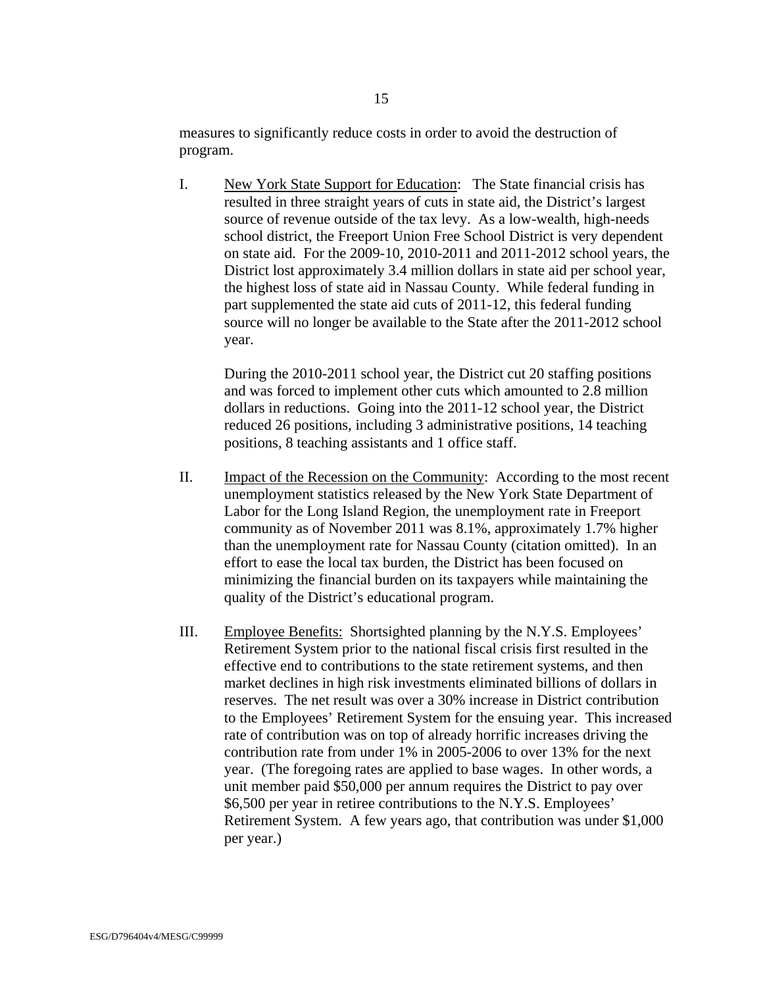measures to significantly reduce costs in order to avoid the destruction of program.

I. New York State Support for Education: The State financial crisis has resulted in three straight years of cuts in state aid, the District's largest source of revenue outside of the tax levy. As a low-wealth, high-needs school district, the Freeport Union Free School District is very dependent on state aid. For the 2009-10, 2010-2011 and 2011-2012 school years, the District lost approximately 3.4 million dollars in state aid per school year, the highest loss of state aid in Nassau County. While federal funding in part supplemented the state aid cuts of 2011-12, this federal funding source will no longer be available to the State after the 2011-2012 school year.

During the 2010-2011 school year, the District cut 20 staffing positions and was forced to implement other cuts which amounted to 2.8 million dollars in reductions. Going into the 2011-12 school year, the District reduced 26 positions, including 3 administrative positions, 14 teaching positions, 8 teaching assistants and 1 office staff.

- II. Impact of the Recession on the Community: According to the most recent unemployment statistics released by the New York State Department of Labor for the Long Island Region, the unemployment rate in Freeport community as of November 2011 was 8.1%, approximately 1.7% higher than the unemployment rate for Nassau County (citation omitted). In an effort to ease the local tax burden, the District has been focused on minimizing the financial burden on its taxpayers while maintaining the quality of the District's educational program.
- III. Employee Benefits: Shortsighted planning by the N.Y.S. Employees' Retirement System prior to the national fiscal crisis first resulted in the effective end to contributions to the state retirement systems, and then market declines in high risk investments eliminated billions of dollars in reserves. The net result was over a 30% increase in District contribution to the Employees' Retirement System for the ensuing year. This increased rate of contribution was on top of already horrific increases driving the contribution rate from under 1% in 2005-2006 to over 13% for the next year. (The foregoing rates are applied to base wages. In other words, a unit member paid \$50,000 per annum requires the District to pay over \$6,500 per year in retiree contributions to the N.Y.S. Employees' Retirement System. A few years ago, that contribution was under \$1,000 per year.)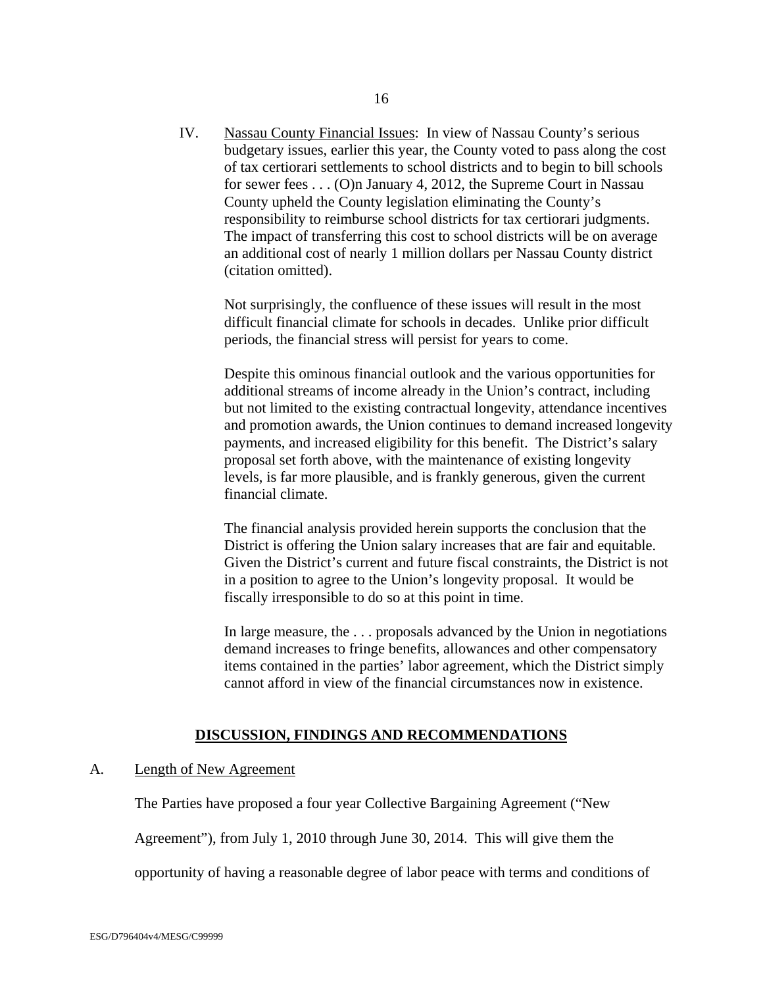IV. Nassau County Financial Issues: In view of Nassau County's serious budgetary issues, earlier this year, the County voted to pass along the cost of tax certiorari settlements to school districts and to begin to bill schools for sewer fees . . . (O)n January 4, 2012, the Supreme Court in Nassau County upheld the County legislation eliminating the County's responsibility to reimburse school districts for tax certiorari judgments. The impact of transferring this cost to school districts will be on average an additional cost of nearly 1 million dollars per Nassau County district (citation omitted).

Not surprisingly, the confluence of these issues will result in the most difficult financial climate for schools in decades. Unlike prior difficult periods, the financial stress will persist for years to come.

Despite this ominous financial outlook and the various opportunities for additional streams of income already in the Union's contract, including but not limited to the existing contractual longevity, attendance incentives and promotion awards, the Union continues to demand increased longevity payments, and increased eligibility for this benefit. The District's salary proposal set forth above, with the maintenance of existing longevity levels, is far more plausible, and is frankly generous, given the current financial climate.

The financial analysis provided herein supports the conclusion that the District is offering the Union salary increases that are fair and equitable. Given the District's current and future fiscal constraints, the District is not in a position to agree to the Union's longevity proposal. It would be fiscally irresponsible to do so at this point in time.

In large measure, the . . . proposals advanced by the Union in negotiations demand increases to fringe benefits, allowances and other compensatory items contained in the parties' labor agreement, which the District simply cannot afford in view of the financial circumstances now in existence.

### **DISCUSSION, FINDINGS AND RECOMMENDATIONS**

### A. Length of New Agreement

The Parties have proposed a four year Collective Bargaining Agreement ("New

Agreement"), from July 1, 2010 through June 30, 2014. This will give them the

opportunity of having a reasonable degree of labor peace with terms and conditions of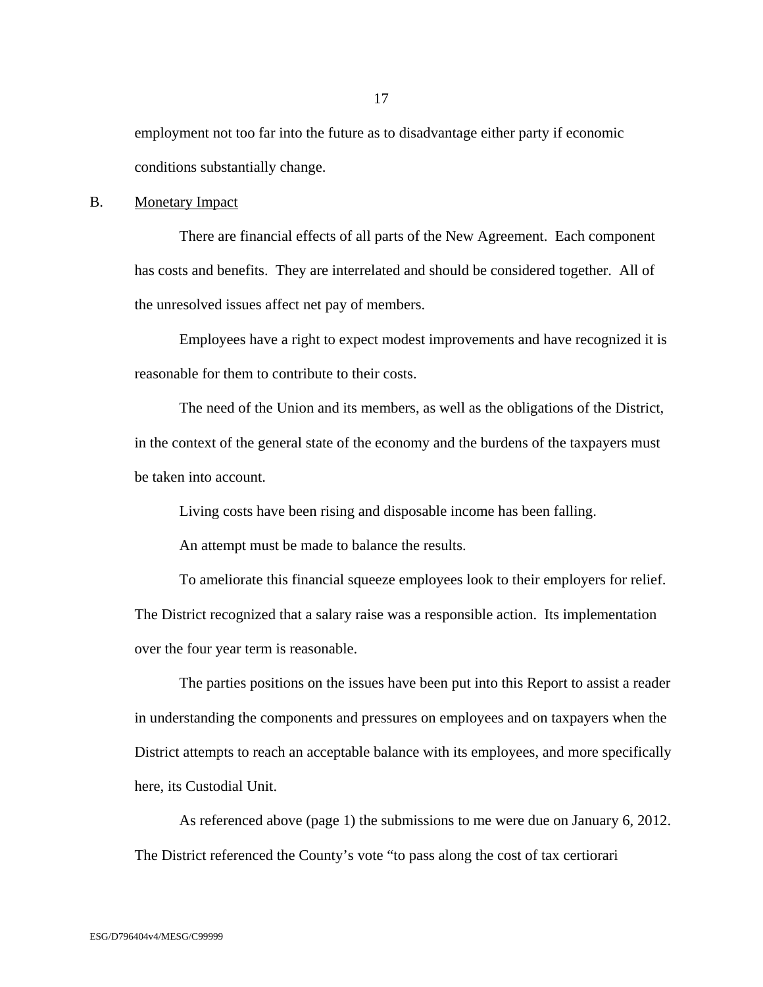employment not too far into the future as to disadvantage either party if economic conditions substantially change.

### B. Monetary Impact

 There are financial effects of all parts of the New Agreement. Each component has costs and benefits. They are interrelated and should be considered together. All of the unresolved issues affect net pay of members.

 Employees have a right to expect modest improvements and have recognized it is reasonable for them to contribute to their costs.

 The need of the Union and its members, as well as the obligations of the District, in the context of the general state of the economy and the burdens of the taxpayers must be taken into account.

Living costs have been rising and disposable income has been falling.

An attempt must be made to balance the results.

 To ameliorate this financial squeeze employees look to their employers for relief. The District recognized that a salary raise was a responsible action. Its implementation over the four year term is reasonable.

 The parties positions on the issues have been put into this Report to assist a reader in understanding the components and pressures on employees and on taxpayers when the District attempts to reach an acceptable balance with its employees, and more specifically here, its Custodial Unit.

 As referenced above (page 1) the submissions to me were due on January 6, 2012. The District referenced the County's vote "to pass along the cost of tax certiorari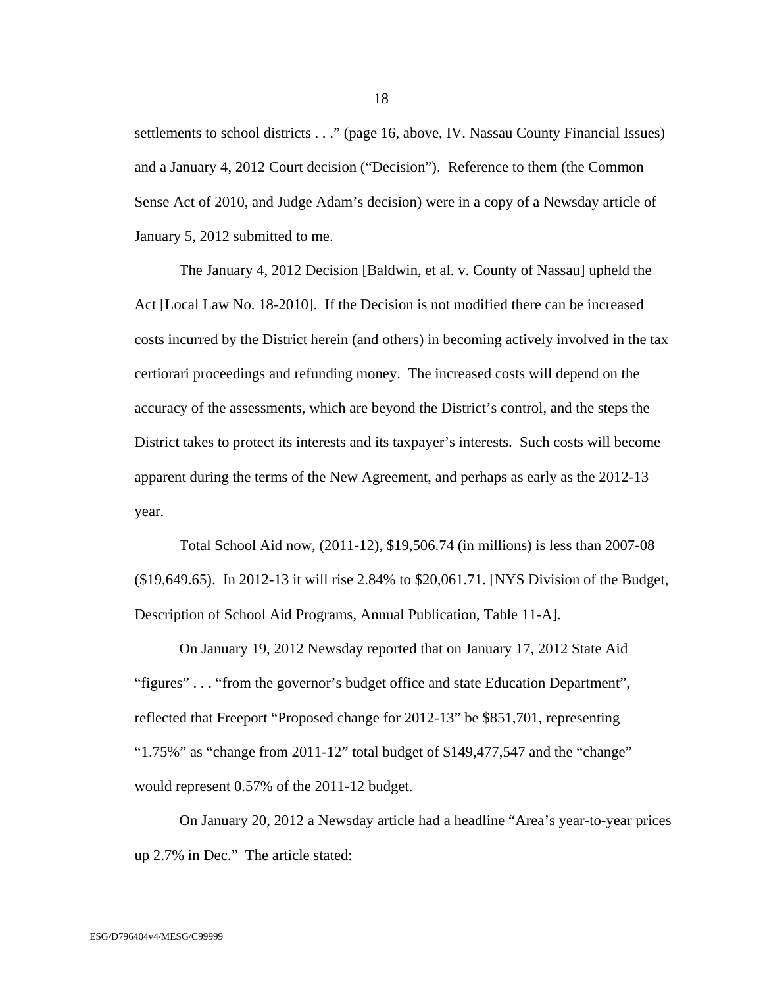settlements to school districts . . ." (page 16, above, IV. Nassau County Financial Issues) and a January 4, 2012 Court decision ("Decision"). Reference to them (the Common Sense Act of 2010, and Judge Adam's decision) were in a copy of a Newsday article of January 5, 2012 submitted to me.

 The January 4, 2012 Decision [Baldwin, et al. v. County of Nassau] upheld the Act [Local Law No. 18-2010]. If the Decision is not modified there can be increased costs incurred by the District herein (and others) in becoming actively involved in the tax certiorari proceedings and refunding money. The increased costs will depend on the accuracy of the assessments, which are beyond the District's control, and the steps the District takes to protect its interests and its taxpayer's interests. Such costs will become apparent during the terms of the New Agreement, and perhaps as early as the 2012-13 year.

 Total School Aid now, (2011-12), \$19,506.74 (in millions) is less than 2007-08 (\$19,649.65). In 2012-13 it will rise 2.84% to \$20,061.71. [NYS Division of the Budget, Description of School Aid Programs, Annual Publication, Table 11-A].

 On January 19, 2012 Newsday reported that on January 17, 2012 State Aid "figures" . . . "from the governor's budget office and state Education Department", reflected that Freeport "Proposed change for 2012-13" be \$851,701, representing "1.75%" as "change from 2011-12" total budget of \$149,477,547 and the "change" would represent 0.57% of the 2011-12 budget.

 On January 20, 2012 a Newsday article had a headline "Area's year-to-year prices up 2.7% in Dec." The article stated: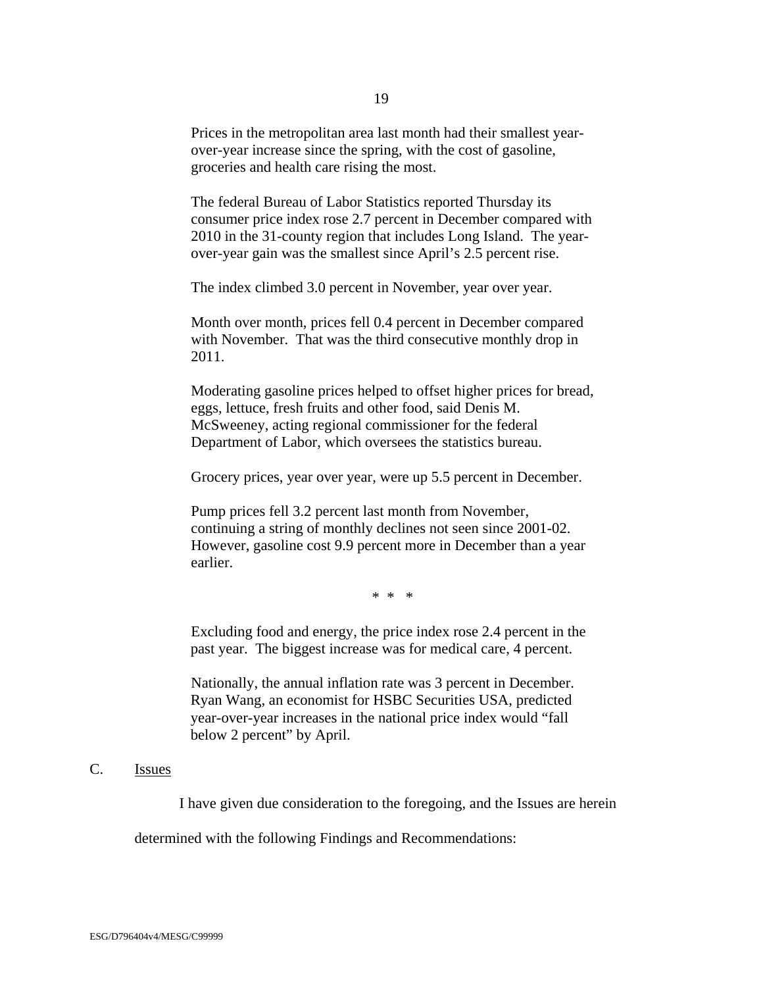Prices in the metropolitan area last month had their smallest yearover-year increase since the spring, with the cost of gasoline, groceries and health care rising the most.

The federal Bureau of Labor Statistics reported Thursday its consumer price index rose 2.7 percent in December compared with 2010 in the 31-county region that includes Long Island. The yearover-year gain was the smallest since April's 2.5 percent rise.

The index climbed 3.0 percent in November, year over year.

Month over month, prices fell 0.4 percent in December compared with November. That was the third consecutive monthly drop in 2011.

Moderating gasoline prices helped to offset higher prices for bread, eggs, lettuce, fresh fruits and other food, said Denis M. McSweeney, acting regional commissioner for the federal Department of Labor, which oversees the statistics bureau.

Grocery prices, year over year, were up 5.5 percent in December.

Pump prices fell 3.2 percent last month from November, continuing a string of monthly declines not seen since 2001-02. However, gasoline cost 9.9 percent more in December than a year earlier.

\* \* \*

Excluding food and energy, the price index rose 2.4 percent in the past year. The biggest increase was for medical care, 4 percent.

Nationally, the annual inflation rate was 3 percent in December. Ryan Wang, an economist for HSBC Securities USA, predicted year-over-year increases in the national price index would "fall below 2 percent" by April.

### C. Issues

I have given due consideration to the foregoing, and the Issues are herein

determined with the following Findings and Recommendations: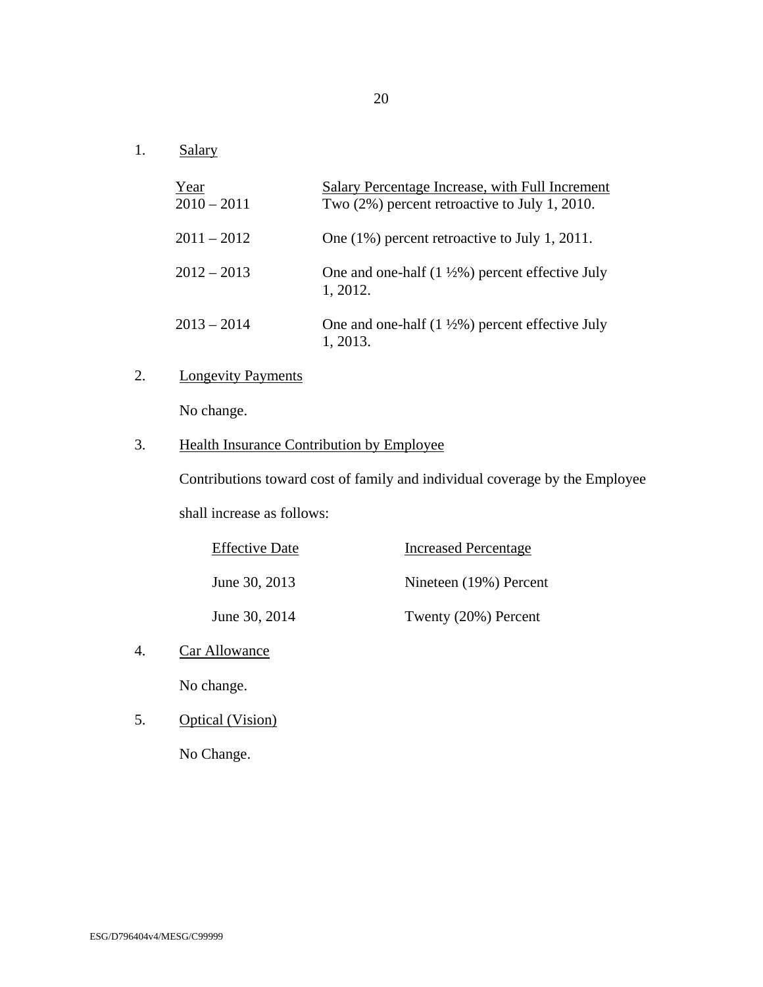1. Salary

| Year<br>$2010 - 2011$ | Salary Percentage Increase, with Full Increment<br>Two (2%) percent retroactive to July 1, 2010. |
|-----------------------|--------------------------------------------------------------------------------------------------|
| $2011 - 2012$         | One (1%) percent retroactive to July 1, 2011.                                                    |
| $2012 - 2013$         | One and one-half $(1 \frac{1}{2}\%)$ percent effective July<br>1, 2012.                          |
| $2013 - 2014$         | One and one-half $(1 \frac{1}{2}\%)$ percent effective July<br>1, 2013.                          |

# 2. Longevity Payments

No change.

## 3. Health Insurance Contribution by Employee

Contributions toward cost of family and individual coverage by the Employee

shall increase as follows:

| <b>Effective Date</b> | <b>Increased Percentage</b> |
|-----------------------|-----------------------------|
| June 30, 2013         | Nineteen (19%) Percent      |
| June 30, 2014         | Twenty (20%) Percent        |

4. Car Allowance

No change.

5. Optical (Vision)

No Change.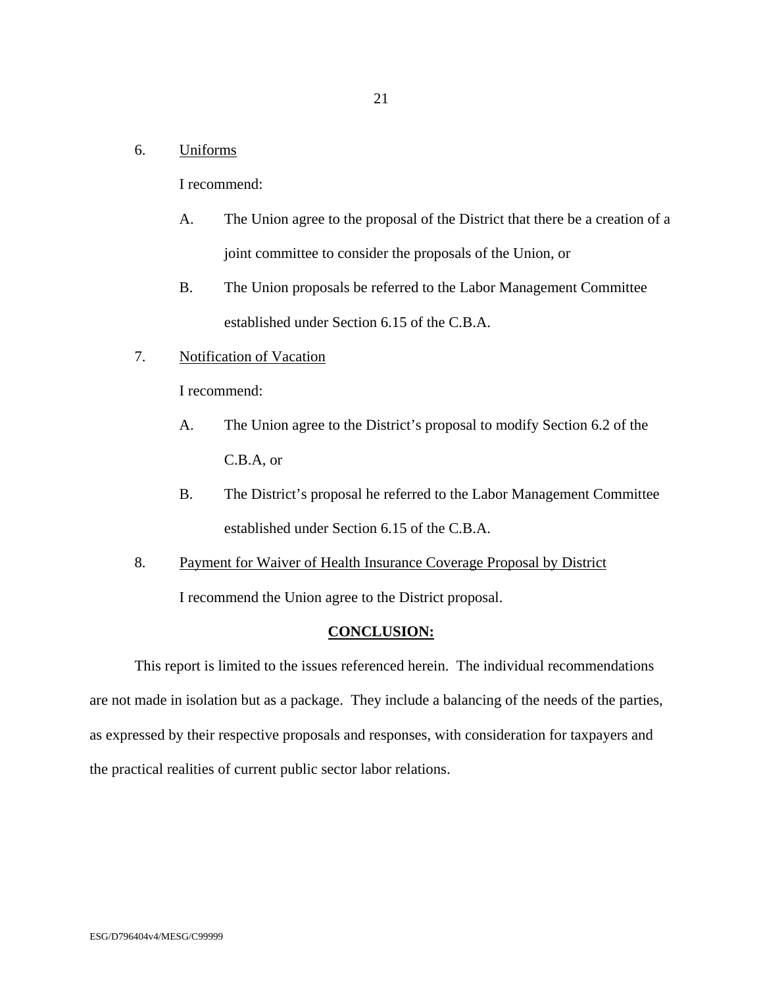### 6. Uniforms

I recommend:

- A. The Union agree to the proposal of the District that there be a creation of a joint committee to consider the proposals of the Union, or
- B. The Union proposals be referred to the Labor Management Committee established under Section 6.15 of the C.B.A.
- 7. Notification of Vacation

I recommend:

- A. The Union agree to the District's proposal to modify Section 6.2 of the C.B.A, or
- B. The District's proposal he referred to the Labor Management Committee established under Section 6.15 of the C.B.A.
- 8. Payment for Waiver of Health Insurance Coverage Proposal by District I recommend the Union agree to the District proposal.

#### **CONCLUSION:**

 This report is limited to the issues referenced herein. The individual recommendations are not made in isolation but as a package. They include a balancing of the needs of the parties, as expressed by their respective proposals and responses, with consideration for taxpayers and the practical realities of current public sector labor relations.